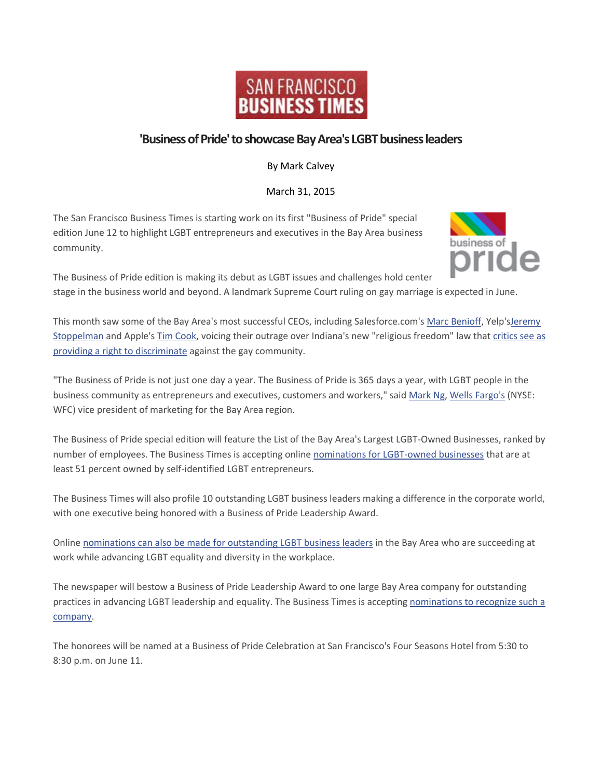

## **'Business of Pride' to showcase Bay Area's LGBT business leaders**

By Mark Calvey

March 31, 2015

The San Francisco Business Times is starting work on its first "Business of Pride" special edition June 12 to highlight LGBT entrepreneurs and executives in the Bay Area business community.



The Business of Pride edition is making its debut as LGBT issues and challenges hold center stage in the business world and beyond. A landmark Supreme Court ruling on gay marriage is expected in June.

This month saw some of the Bay Area's most successful CEOs, including Salesforce.com's [Marc Benioff,](http://www.bizjournals.com/sanfrancisco/search/results?q=Marc%20Benioff) Yelp'[sJeremy](http://www.bizjournals.com/sanfrancisco/search/results?q=Jeremy%20Stoppelman)  [Stoppelman](http://www.bizjournals.com/sanfrancisco/search/results?q=Jeremy%20Stoppelman) and Apple's [Tim Cook,](http://www.bizjournals.com/sanfrancisco/search/results?q=Tim%20Cook) voicing their outrage over Indiana's new "religious freedom" law that [critics see as](http://www.bizjournals.com/sanfrancisco/blog/2015/03/levi-gap-indiana-arkansas-gay-discrimination.html)  [providing a right to discriminate](http://www.bizjournals.com/sanfrancisco/blog/2015/03/levi-gap-indiana-arkansas-gay-discrimination.html) against the gay community.

"The Business of Pride is not just one day a year. The Business of Pride is 365 days a year, with LGBT people in the business community as entrepreneurs and executives, customers and workers," said [Mark Ng,](http://www.bizjournals.com/sanfrancisco/search/results?q=Mark%20Ng) [Wells Fargo's](http://www.bizjournals.com/profiles/company/us/ca/san_francisco/wells_fargo_%26_company/3212390) (NYSE: WFC) vice president of marketing for the Bay Area region.

The Business of Pride special edition will feature the List of the Bay Area's Largest LGBT-Owned Businesses, ranked by number of employees. The Business Times is accepting online [nominations for LGBT-owned businesses](http://www.bizjournals.com/sanfrancisco/nomination/73311) that are at least 51 percent owned by self-identified LGBT entrepreneurs.

The Business Times will also profile 10 outstanding LGBT business leaders making a difference in the corporate world, with one executive being honored with a Business of Pride Leadership Award.

Online [nominations can also be made for outstanding LGBT business leaders](http://www.bizjournals.com/sanfrancisco/nomination/73501) in the Bay Area who are succeeding at work while advancing LGBT equality and diversity in the workplace.

The newspaper will bestow a Business of Pride Leadership Award to one large Bay Area company for outstanding practices in advancing LGBT leadership and equality. The Business Times is accepting [nominations to recognize such a](http://www.bizjournals.com/sanfrancisco/nomination/73511)  [company.](http://www.bizjournals.com/sanfrancisco/nomination/73511)

The honorees will be named at a Business of Pride Celebration at San Francisco's Four Seasons Hotel from 5:30 to 8:30 p.m. on June 11.